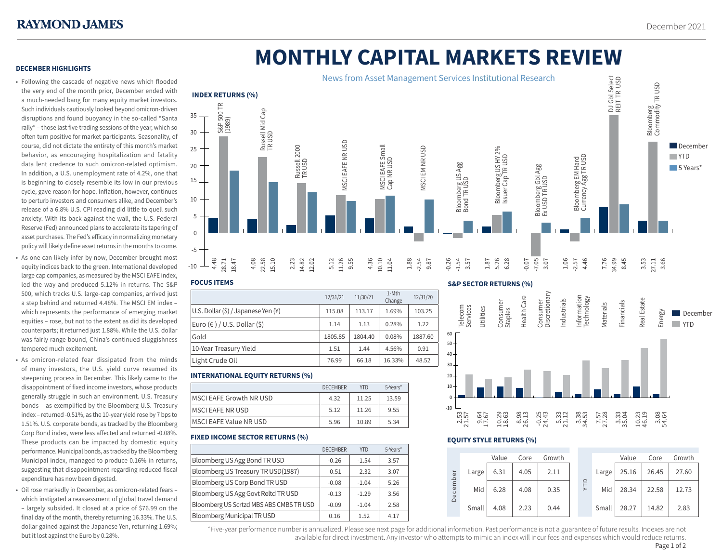# **MONTHLY CAPITAL MARKETS REVIEW**

# **DECEMBER HIGHLIGHTS**

- Following the cascade of negative news which flooded the very end of the month prior, December ended with a much-needed bang for many equity market investors. Such individuals cautiously looked beyond omicron-driven disruptions and found buoyancy in the so-called "Santa rally" – those last five trading sessions of the year, which so often turn positive for market participants. Seasonality, of course, did not dictate the entirety of this month's market behavior, as encouraging hospitalization and fatality data lent credence to such omicron-related optimism. In addition, a U.S. unemployment rate of 4.2%, one that is beginning to closely resemble its low in our previous cycle, gave reason for hope. Inflation, however, continues to perturb investors and consumers alike, and December's release of a 6.8% U.S. CPI reading did little to quell such anxiety. With its back against the wall, the U.S. Federal Reserve (Fed) announced plans to accelerate its tapering of asset purchases. The Fed's efficacy in normalizing monetary policy will likely define asset returns in the months to come.
- As one can likely infer by now, December brought most equity indices back to the green. International developed large cap companies, as measured by the MSCI EAFE index, led the way and produced 5.12% in returns. The S&P 500, which tracks U.S. large-cap companies, arrived just a step behind and returned 4.48%. The MSCI EM index – which represents the performance of emerging market equities – rose, but not to the extent as did its developed counterparts; it returned just 1.88%. While the U.S. dollar was fairly range bound, China's continued sluggishness tempered much excitement.
- As omicron-related fear dissipated from the minds of many investors, the U.S. yield curve resumed its steepening process in December. This likely came to the disappointment of fixed income investors, whose products generally struggle in such an environment. U.S. Treasury bonds – as exemplified by the Bloomberg U.S. Treasury index – returned -0.51%, as the 10-year yield rose by 7 bps to 1.51%. U.S. corporate bonds, as tracked by the Bloomberg Corp Bond index, were less affected and returned -0.08%. These products can be impacted by domestic equity performance. Municipal bonds, as tracked by the Bloomberg Municipal index, managed to produce 0.16% in returns, suggesting that disappointment regarding reduced fiscal expenditure has now been digested.
- Oil rose markedly in December, as omicron-related fears which instigated a reassessment of global travel demand – largely subsided. It closed at a price of \$76.99 on the final day of the month, thereby returning 16.33%. The U.S. dollar gained against the Japanese Yen, returning 1.69%; but it lost against the Euro by 0.28%.



### **FOCUS ITEMS**

|                                     | 12/31/21 | 11/30/21 | 1-Mth<br>Change | 12/31/20 |
|-------------------------------------|----------|----------|-----------------|----------|
| U.S. Dollar (\$) / Japanese Yen (¥) | 115.08   | 113.17   | 1.69%           | 103.25   |
| Euro (€ ) / U.S. Dollar (\$)        | 1.14     | 1.13     | 0.28%           | 1.22     |
| Gold                                | 1805.85  | 1804.40  | 0.08%           | 1887.60  |
| 10-Year Treasury Yield              | 1.51     | 1.44     | 4.56%           | 0.91     |
| Light Crude Oil                     | 76.99    | 66.18    | 16.33%          | 48.52    |

# **INTERNATIONAL EQUITY RETURNS (%)**

|                                 | <b>DECEMBER</b> | <b>YTD</b> | 5-Years* |  |
|---------------------------------|-----------------|------------|----------|--|
| <b>IMSCI EAFE Growth NR USD</b> | 4.32            | 11.25      | 13.59    |  |
| <b>IMSCI EAFE NR USD</b>        | 5.12            | 11.26      | 9.55     |  |
| <b>IMSCI EAFE Value NR USD</b>  | 5.96            | 10.89      | 5.34     |  |

# **FIXED INCOME SECTOR RETURNS (%)**

|                                         | <b>DECEMBER</b> | <b>YTD</b> | 5-Years* |
|-----------------------------------------|-----------------|------------|----------|
| Bloomberg US Agg Bond TR USD            | $-0.26$         | $-1.54$    | 3.57     |
| Bloomberg US Treasury TR USD(1987)      | $-0.51$         | $-2.32$    | 3.07     |
| Bloomberg US Corp Bond TR USD           | $-0.08$         | $-1.04$    | 5.26     |
| Bloomberg US Agg Govt Reltd TR USD      | $-0.13$         | $-1.29$    | 3.56     |
| Bloomberg US Scrtzd MBS ABS CMBS TR USD | $-0.09$         | $-1.04$    | 2.58     |
| <b>Bloomberg Municipal TR USD</b>       | 0.16            | 1.52       | 4.17     |

# **S&P SECTOR RETURNS (%)**





# **EQUITY STYLE RETURNS (%)**

|                                  |       | Value | Core | Growth |  |            |       | Value | Core  | Growth |
|----------------------------------|-------|-------|------|--------|--|------------|-------|-------|-------|--------|
| $\frac{1}{\omega}$<br>cemb<br>Δe | Large | 6.31  | 4.05 | 2.11   |  | <b>ALA</b> | Large | 25.16 | 26.45 | 27.60  |
|                                  | Mid   | 6.28  | 4.08 | 0.35   |  |            | Mid   | 28.34 | 22.58 | 12.73  |
|                                  | Small | 4.08  | 2.23 | 0.44   |  |            | Small | 28.27 | 14.82 | 2.83   |

\*Five-year performance number is annualized. Please see next page for additional information. Past performance is not a guarantee of future results. Indexes are not 1 available for direct investment. Any investor who attempts to mimic an index will incur fees and expenses which would reduce returns. Page 1 of 2